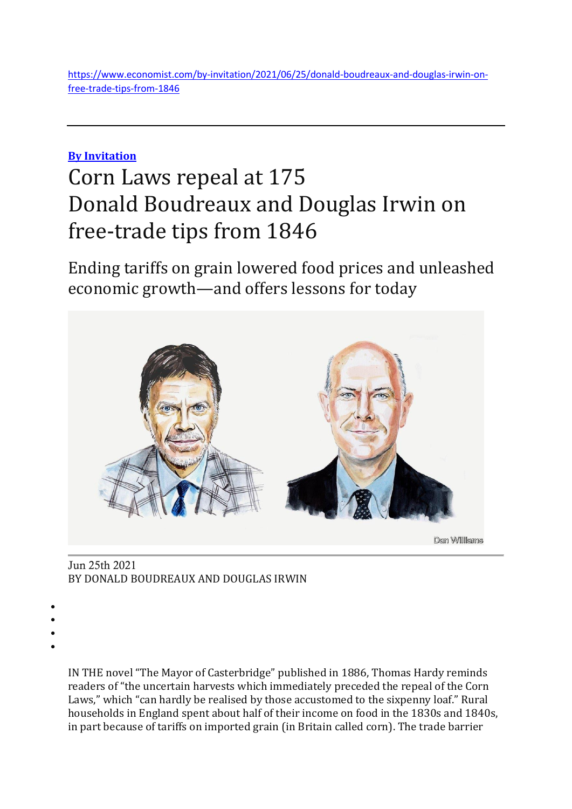[https://www.economist.com/by-invitation/2021/06/25/donald-boudreaux-and-douglas-irwin-on](https://www.economist.com/by-invitation/2021/06/25/donald-boudreaux-and-douglas-irwin-on-free-trade-tips-from-1846)[free-trade-tips-from-1846](https://www.economist.com/by-invitation/2021/06/25/donald-boudreaux-and-douglas-irwin-on-free-trade-tips-from-1846)

## **By [Invitation](https://www.economist.com/by-invitation/)**

## Corn Laws repeal at 175 Donald Boudreaux and Douglas Irwin on free-trade tips from 1846

Ending tariffs on grain lowered food prices and unleashed economic growth—and offers lessons for today



**Dan Williams** 

## Jun 25th 2021 BY DONALD BOUDREAUX AND DOUGLAS IRWIN

- •
- •
- •
- •

IN THE novel "The Mayor of Casterbridge" published in 1886, Thomas Hardy reminds readers of "the uncertain harvests which immediately preceded the repeal of the Corn Laws," which "can hardly be realised by those accustomed to the sixpenny loaf." Rural households in England spent about half of their income on food in the 1830s and 1840s, in part because of tariffs on imported grain (in Britain called corn). The trade barrier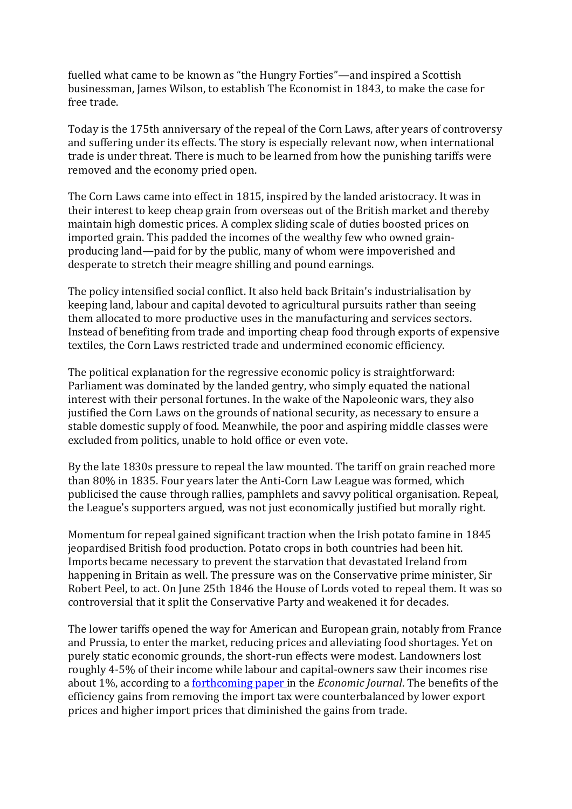fuelled what came to be known as "the Hungry Forties"—and inspired a Scottish businessman, James Wilson, to establish The Economist in 1843, to make the case for free trade.

Today is the 175th anniversary of the repeal of the Corn Laws, after years of controversy and suffering under its effects. The story is especially relevant now, when international trade is under threat. There is much to be learned from how the punishing tariffs were removed and the economy pried open.

The Corn Laws came into effect in 1815, inspired by the landed aristocracy. It was in their interest to keep cheap grain from overseas out of the British market and thereby maintain high domestic prices. A complex sliding scale of duties boosted prices on imported grain. This padded the incomes of the wealthy few who owned grainproducing land—paid for by the public, many of whom were impoverished and desperate to stretch their meagre shilling and pound earnings.

The policy intensified social conflict. It also held back Britain's industrialisation by keeping land, labour and capital devoted to agricultural pursuits rather than seeing them allocated to more productive uses in the manufacturing and services sectors. Instead of benefiting from trade and importing cheap food through exports of expensive textiles, the Corn Laws restricted trade and undermined economic efficiency.

The political explanation for the regressive economic policy is straightforward: Parliament was dominated by the landed gentry, who simply equated the national interest with their personal fortunes. In the wake of the Napoleonic wars, they also justified the Corn Laws on the grounds of national security, as necessary to ensure a stable domestic supply of food. Meanwhile, the poor and aspiring middle classes were excluded from politics, unable to hold office or even vote.

By the late 1830s pressure to repeal the law mounted. The tariff on grain reached more than 80% in 1835. Four years later the Anti-Corn Law League was formed, which publicised the cause through rallies, pamphlets and savvy political organisation. Repeal, the League's supporters argued, was not just economically justified but morally right.

Momentum for repeal gained significant traction when the Irish potato famine in 1845 jeopardised British food production. Potato crops in both countries had been hit. Imports became necessary to prevent the starvation that devastated Ireland from happening in Britain as well. The pressure was on the Conservative prime minister, Sir Robert Peel, to act. On June 25th 1846 the House of Lords voted to repeal them. It was so controversial that it split the Conservative Party and weakened it for decades.

The lower tariffs opened the way for American and European grain, notably from France and Prussia, to enter the market, reducing prices and alleviating food shortages. Yet on purely static economic grounds, the short-run effects were modest. Landowners lost roughly 4-5% of their income while labour and capital-owners saw their incomes rise about 1%, according to a [forthcoming paper](https://academic.oup.com/ej/advance-article-abstract/doi/10.1093/ej/ueab029/6219863?redirectedFrom=fulltext) in the *Economic Journal*. The benefits of the efficiency gains from removing the import tax were counterbalanced by lower export prices and higher import prices that diminished the gains from trade.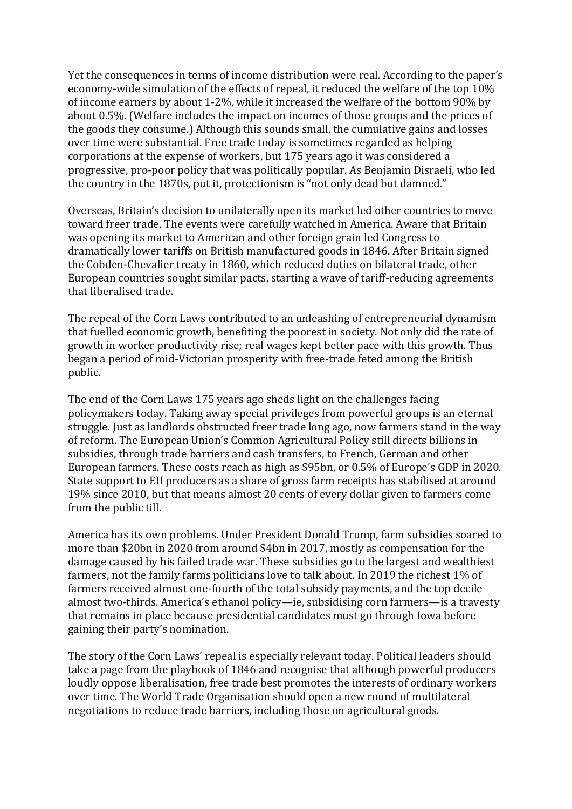Yet the consequences in terms of income distribution were real. According to the paper's economy-wide simulation of the effects of repeal, it reduced the welfare of the top 10% of income earners by about 1-2%, while it increased the welfare of the bottom 90% by about 0.5%. (Welfare includes the impact on incomes of those groups and the prices of the goods they consume.) Although this sounds small, the cumulative gains and losses over time were substantial. Free trade today is sometimes regarded as helping corporations at the expense of workers, but 175 years ago it was considered a progressive, pro-poor policy that was politically popular. As Benjamin Disraeli, who led the country in the 1870s, put it, protectionism is "not only dead but damned."

Overseas, Britain's decision to unilaterally open its market led other countries to move toward freer trade. The events were carefully watched in America. Aware that Britain was opening its market to American and other foreign grain led Congress to dramatically lower tariffs on British manufactured goods in 1846. After Britain signed the Cobden-Chevalier treaty in 1860, which reduced duties on bilateral trade, other European countries sought similar pacts, starting a wave of tariff-reducing agreements that liberalised trade.

The repeal of the Corn Laws contributed to an unleashing of entrepreneurial dynamism that fuelled economic growth, benefiting the poorest in society. Not only did the rate of growth in worker productivity rise; real wages kept better pace with this growth. Thus began a period of mid-Victorian prosperity with free-trade feted among the British public.

The end of the Corn Laws 175 years ago sheds light on the challenges facing policymakers today. Taking away special privileges from powerful groups is an eternal struggle. Just as landlords obstructed freer trade long ago, now farmers stand in the way of reform. The European Union's Common Agricultural Policy still directs billions in subsidies, through trade barriers and cash transfers, to French, German and other European farmers. These costs reach as high as \$95bn, or 0.5% of Europe's GDP in 2020. State support to EU producers as a share of gross farm receipts has stabilised at around 19% since 2010, but that means almost 20 cents of every dollar given to farmers come from the public till.

America has its own problems. Under President Donald Trump, farm subsidies soared to more than \$20bn in 2020 from around \$4bn in 2017, mostly as compensation for the damage caused by his failed trade war. These subsidies go to the largest and wealthiest farmers, not the family farms politicians love to talk about. In 2019 the richest 1% of farmers received almost one-fourth of the total subsidy payments, and the top decile almost two-thirds. America's ethanol policy—ie, subsidising corn farmers—is a travesty that remains in place because presidential candidates must go through Iowa before gaining their party's nomination.

The story of the Corn Laws' repeal is especially relevant today. Political leaders should take a page from the playbook of 1846 and recognise that although powerful producers loudly oppose liberalisation, free trade best promotes the interests of ordinary workers over time. The World Trade Organisation should open a new round of multilateral negotiations to reduce trade barriers, including those on agricultural goods.